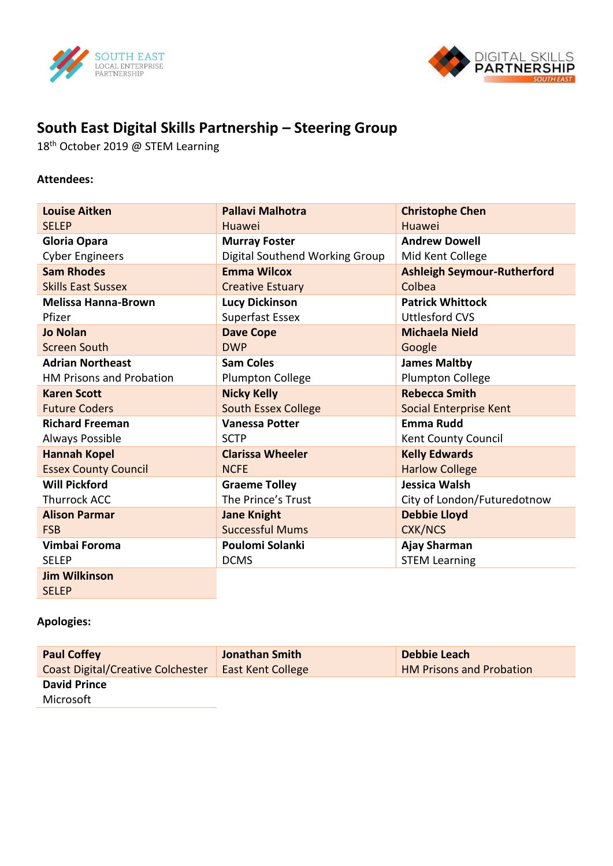



## **South East Digital Skills Partnership – Steering Group**

18<sup>th</sup> October 2019 @ STEM Learning

## **Attendees:**

| <b>Louise Aitken</b>        | <b>Pallavi Malhotra</b>        | <b>Christophe Chen</b>             |
|-----------------------------|--------------------------------|------------------------------------|
| <b>SELEP</b>                | Huawei                         | Huawei                             |
| <b>Gloria Opara</b>         | <b>Murray Foster</b>           | <b>Andrew Dowell</b>               |
| <b>Cyber Engineers</b>      | Digital Southend Working Group | Mid Kent College                   |
| <b>Sam Rhodes</b>           | <b>Emma Wilcox</b>             | <b>Ashleigh Seymour-Rutherford</b> |
| <b>Skills East Sussex</b>   | <b>Creative Estuary</b>        | Colbea                             |
| <b>Melissa Hanna-Brown</b>  | <b>Lucy Dickinson</b>          | <b>Patrick Whittock</b>            |
| Pfizer                      | Superfast Essex                | <b>Uttlesford CVS</b>              |
| <b>Jo Nolan</b>             | <b>Dave Cope</b>               | <b>Michaela Nield</b>              |
| Screen South                | <b>DWP</b>                     | Google                             |
| <b>Adrian Northeast</b>     | <b>Sam Coles</b>               | <b>James Maltby</b>                |
| HM Prisons and Probation    | <b>Plumpton College</b>        | <b>Plumpton College</b>            |
| <b>Karen Scott</b>          | <b>Nicky Kelly</b>             | <b>Rebecca Smith</b>               |
| <b>Future Coders</b>        | <b>South Essex College</b>     | Social Enterprise Kent             |
| <b>Richard Freeman</b>      | <b>Vanessa Potter</b>          | <b>Emma Rudd</b>                   |
| Always Possible             | <b>SCTP</b>                    | Kent County Council                |
| <b>Hannah Kopel</b>         | <b>Clarissa Wheeler</b>        | <b>Kelly Edwards</b>               |
| <b>Essex County Council</b> | <b>NCFE</b>                    | <b>Harlow College</b>              |
| <b>Will Pickford</b>        | <b>Graeme Tolley</b>           | Jessica Walsh                      |
| <b>Thurrock ACC</b>         | The Prince's Trust             | City of London/Futuredotnow        |
| <b>Alison Parmar</b>        | <b>Jane Knight</b>             | <b>Debbie Lloyd</b>                |
| <b>FSB</b>                  | <b>Successful Mums</b>         | <b>CXK/NCS</b>                     |
| Vimbai Foroma               | Poulomi Solanki                | Ajay Sharman                       |
| <b>SELEP</b>                | <b>DCMS</b>                    | <b>STEM Learning</b>               |
| <b>Jim Wilkinson</b>        |                                |                                    |

SELEP

## **Apologies:**

| <b>Paul Coffey</b>                       | <b>Jonathan Smith</b>    | Debbie Leach                    |
|------------------------------------------|--------------------------|---------------------------------|
| <b>Coast Digital/Creative Colchester</b> | <b>East Kent College</b> | <b>HM Prisons and Probation</b> |
| <b>David Prince</b>                      |                          |                                 |
| Microsoft                                |                          |                                 |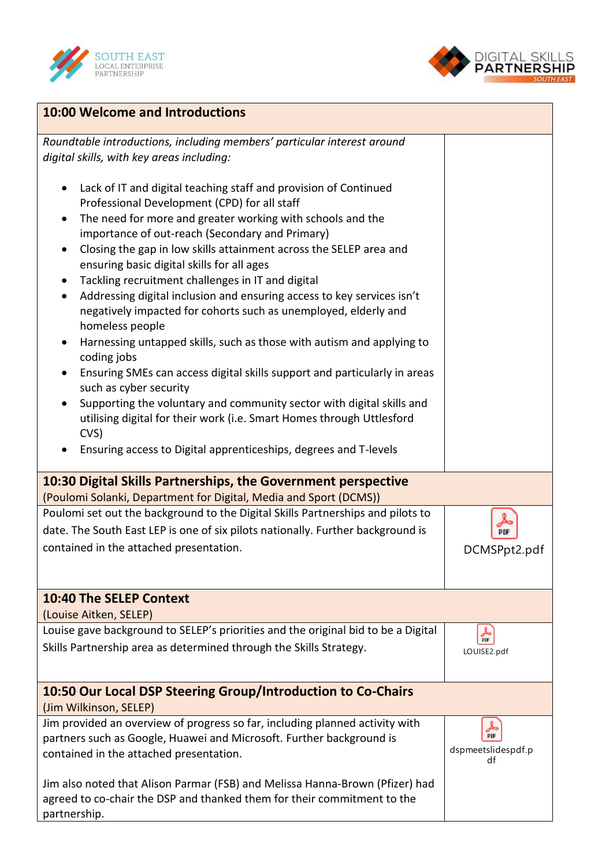



| <b>10:00 Welcome and Introductions</b>                                                                                                                                                                                                                                                                                                                                                                                                                                                                                                                                                                                                                                                                                                                                                                                                                                                                                                                                                                                            |                                      |  |  |  |
|-----------------------------------------------------------------------------------------------------------------------------------------------------------------------------------------------------------------------------------------------------------------------------------------------------------------------------------------------------------------------------------------------------------------------------------------------------------------------------------------------------------------------------------------------------------------------------------------------------------------------------------------------------------------------------------------------------------------------------------------------------------------------------------------------------------------------------------------------------------------------------------------------------------------------------------------------------------------------------------------------------------------------------------|--------------------------------------|--|--|--|
| Roundtable introductions, including members' particular interest around<br>digital skills, with key areas including:                                                                                                                                                                                                                                                                                                                                                                                                                                                                                                                                                                                                                                                                                                                                                                                                                                                                                                              |                                      |  |  |  |
| Lack of IT and digital teaching staff and provision of Continued<br>Professional Development (CPD) for all staff<br>The need for more and greater working with schools and the<br>importance of out-reach (Secondary and Primary)<br>Closing the gap in low skills attainment across the SELEP area and<br>$\bullet$<br>ensuring basic digital skills for all ages<br>Tackling recruitment challenges in IT and digital<br>Addressing digital inclusion and ensuring access to key services isn't<br>$\bullet$<br>negatively impacted for cohorts such as unemployed, elderly and<br>homeless people<br>Harnessing untapped skills, such as those with autism and applying to<br>coding jobs<br>Ensuring SMEs can access digital skills support and particularly in areas<br>such as cyber security<br>Supporting the voluntary and community sector with digital skills and<br>utilising digital for their work (i.e. Smart Homes through Uttlesford<br>CVS)<br>Ensuring access to Digital apprenticeships, degrees and T-levels |                                      |  |  |  |
| 10:30 Digital Skills Partnerships, the Government perspective<br>(Poulomi Solanki, Department for Digital, Media and Sport (DCMS))                                                                                                                                                                                                                                                                                                                                                                                                                                                                                                                                                                                                                                                                                                                                                                                                                                                                                                |                                      |  |  |  |
| Poulomi set out the background to the Digital Skills Partnerships and pilots to<br>date. The South East LEP is one of six pilots nationally. Further background is<br>contained in the attached presentation.                                                                                                                                                                                                                                                                                                                                                                                                                                                                                                                                                                                                                                                                                                                                                                                                                     | PDF<br>DCMSPpt2.pdf                  |  |  |  |
| <b>10:40 The SELEP Context</b><br>(Louise Aitken, SELEP)                                                                                                                                                                                                                                                                                                                                                                                                                                                                                                                                                                                                                                                                                                                                                                                                                                                                                                                                                                          |                                      |  |  |  |
| Louise gave background to SELEP's priorities and the original bid to be a Digital<br>Skills Partnership area as determined through the Skills Strategy.                                                                                                                                                                                                                                                                                                                                                                                                                                                                                                                                                                                                                                                                                                                                                                                                                                                                           | كحر<br><b>PDF</b><br>LOUISE2.pdf     |  |  |  |
| 10:50 Our Local DSP Steering Group/Introduction to Co-Chairs<br>(Jim Wilkinson, SELEP)                                                                                                                                                                                                                                                                                                                                                                                                                                                                                                                                                                                                                                                                                                                                                                                                                                                                                                                                            |                                      |  |  |  |
| Jim provided an overview of progress so far, including planned activity with<br>partners such as Google, Huawei and Microsoft. Further background is<br>contained in the attached presentation.                                                                                                                                                                                                                                                                                                                                                                                                                                                                                                                                                                                                                                                                                                                                                                                                                                   | ┻<br>PDF<br>dspmeetslidespdf.p<br>df |  |  |  |
| Jim also noted that Alison Parmar (FSB) and Melissa Hanna-Brown (Pfizer) had<br>agreed to co-chair the DSP and thanked them for their commitment to the<br>partnership.                                                                                                                                                                                                                                                                                                                                                                                                                                                                                                                                                                                                                                                                                                                                                                                                                                                           |                                      |  |  |  |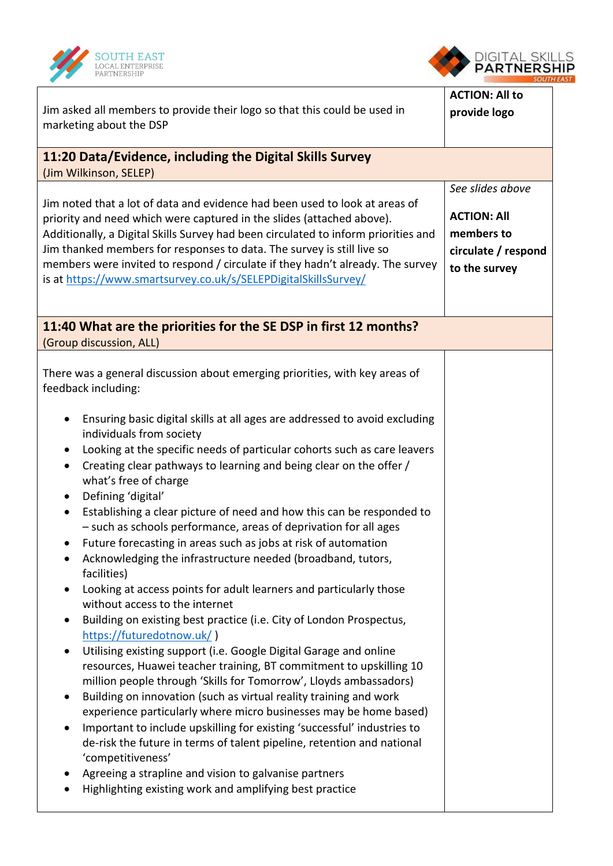



| Jim asked all members to provide their logo so that this could be used in<br>marketing about the DSP                                                                                                                                                                                                                                                                                                                                                                                                                                                                                                                                                                                                                                                                                                                                                                                                                                                                                                                                                                                                                                                                                                                                                                                                                                                                                                                                                                                                                                                                                                     | <b>ACTION: All to</b><br>provide logo                                                        |  |  |  |
|----------------------------------------------------------------------------------------------------------------------------------------------------------------------------------------------------------------------------------------------------------------------------------------------------------------------------------------------------------------------------------------------------------------------------------------------------------------------------------------------------------------------------------------------------------------------------------------------------------------------------------------------------------------------------------------------------------------------------------------------------------------------------------------------------------------------------------------------------------------------------------------------------------------------------------------------------------------------------------------------------------------------------------------------------------------------------------------------------------------------------------------------------------------------------------------------------------------------------------------------------------------------------------------------------------------------------------------------------------------------------------------------------------------------------------------------------------------------------------------------------------------------------------------------------------------------------------------------------------|----------------------------------------------------------------------------------------------|--|--|--|
| 11:20 Data/Evidence, including the Digital Skills Survey<br>(Jim Wilkinson, SELEP)                                                                                                                                                                                                                                                                                                                                                                                                                                                                                                                                                                                                                                                                                                                                                                                                                                                                                                                                                                                                                                                                                                                                                                                                                                                                                                                                                                                                                                                                                                                       |                                                                                              |  |  |  |
| Jim noted that a lot of data and evidence had been used to look at areas of<br>priority and need which were captured in the slides (attached above).<br>Additionally, a Digital Skills Survey had been circulated to inform priorities and<br>Jim thanked members for responses to data. The survey is still live so<br>members were invited to respond / circulate if they hadn't already. The survey<br>is at https://www.smartsurvey.co.uk/s/SELEPDigitalSkillsSurvey/                                                                                                                                                                                                                                                                                                                                                                                                                                                                                                                                                                                                                                                                                                                                                                                                                                                                                                                                                                                                                                                                                                                                | See slides above<br><b>ACTION: All</b><br>members to<br>circulate / respond<br>to the survey |  |  |  |
| 11:40 What are the priorities for the SE DSP in first 12 months?<br>(Group discussion, ALL)                                                                                                                                                                                                                                                                                                                                                                                                                                                                                                                                                                                                                                                                                                                                                                                                                                                                                                                                                                                                                                                                                                                                                                                                                                                                                                                                                                                                                                                                                                              |                                                                                              |  |  |  |
| There was a general discussion about emerging priorities, with key areas of<br>feedback including:<br>Ensuring basic digital skills at all ages are addressed to avoid excluding<br>individuals from society<br>Looking at the specific needs of particular cohorts such as care leavers<br>Creating clear pathways to learning and being clear on the offer /<br>$\bullet$<br>what's free of charge<br>Defining 'digital'<br>$\bullet$<br>Establishing a clear picture of need and how this can be responded to<br>- such as schools performance, areas of deprivation for all ages<br>Future forecasting in areas such as jobs at risk of automation<br>Acknowledging the infrastructure needed (broadband, tutors,<br>facilities)<br>Looking at access points for adult learners and particularly those<br>without access to the internet<br>Building on existing best practice (i.e. City of London Prospectus,<br>https://futuredotnow.uk/)<br>Utilising existing support (i.e. Google Digital Garage and online<br>resources, Huawei teacher training, BT commitment to upskilling 10<br>million people through 'Skills for Tomorrow', Lloyds ambassadors)<br>Building on innovation (such as virtual reality training and work<br>experience particularly where micro businesses may be home based)<br>Important to include upskilling for existing 'successful' industries to<br>de-risk the future in terms of talent pipeline, retention and national<br>'competitiveness'<br>Agreeing a strapline and vision to galvanise partners<br>Highlighting existing work and amplifying best practice |                                                                                              |  |  |  |